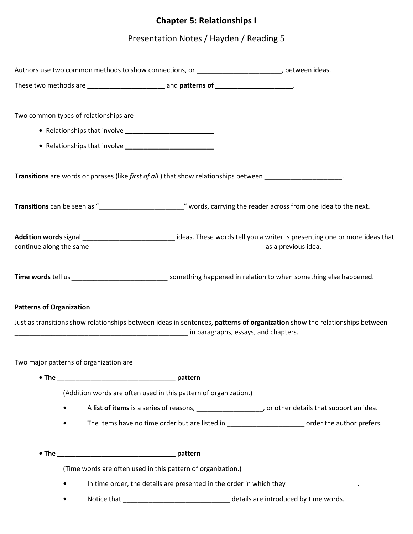## **Chapter 5: Relationships I**

## Presentation Notes / Hayden / Reading 5

|                                 |                                        |                                                                                          | Authors use two common methods to show connections, or _________________________, between ideas.                                |
|---------------------------------|----------------------------------------|------------------------------------------------------------------------------------------|---------------------------------------------------------------------------------------------------------------------------------|
|                                 |                                        | These two methods are ________________________ and patterns of ________________________. |                                                                                                                                 |
|                                 | Two common types of relationships are  |                                                                                          |                                                                                                                                 |
|                                 |                                        |                                                                                          |                                                                                                                                 |
|                                 |                                        |                                                                                          |                                                                                                                                 |
|                                 |                                        |                                                                                          | Transitions are words or phrases (like first of all) that show relationships between ___________________.                       |
|                                 |                                        |                                                                                          |                                                                                                                                 |
|                                 |                                        |                                                                                          | Addition words signal ________________________________ideas. These words tell you a writer is presenting one or more ideas that |
|                                 |                                        |                                                                                          | Time words tell us ________________________________ something happened in relation to when something else happened.             |
| <b>Patterns of Organization</b> |                                        |                                                                                          | Just as transitions show relationships between ideas in sentences, patterns of organization show the relationships between      |
|                                 | Two major patterns of organization are |                                                                                          |                                                                                                                                 |
|                                 |                                        |                                                                                          |                                                                                                                                 |
|                                 |                                        | (Addition words are often used in this pattern of organization.)                         |                                                                                                                                 |
| $\bullet$                       |                                        |                                                                                          | A list of items is a series of reasons, _____________________, or other details that support an idea.                           |
| $\bullet$                       |                                        |                                                                                          | The items have no time order but are listed in __________________________ order the author prefers.                             |
|                                 |                                        |                                                                                          |                                                                                                                                 |
|                                 |                                        | (Time words are often used in this pattern of organization.)                             |                                                                                                                                 |
| ٠                               |                                        |                                                                                          | In time order, the details are presented in the order in which they ___________________.                                        |
|                                 |                                        |                                                                                          |                                                                                                                                 |